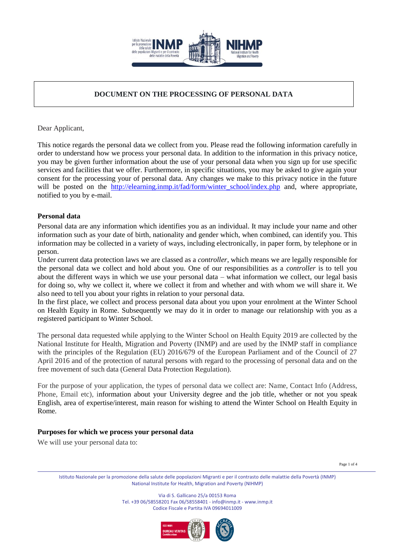

# **DOCUMENT ON THE PROCESSING OF PERSONAL DATA**

Dear Applicant,

This notice regards the personal data we collect from you. Please read the following information carefully in order to understand how we process your personal data. In addition to the information in this privacy notice, you may be given further information about the use of your personal data when you sign up for use specific services and facilities that we offer. Furthermore, in specific situations, you may be asked to give again your consent for the processing your of personal data. Any changes we make to this privacy notice in the future will be posted on the [http://elearning.inmp.it/fad/form/winter\\_school/index.php](http://elearning.inmp.it/fad/form/winter_school/index.php) and, where appropriate, notified to you by e-mail.

## **Personal data**

Personal data are any information which identifies you as an individual. It may include your name and other information such as your date of birth, nationality and gender which, when combined, can identify you. This information may be collected in a variety of ways, including electronically, in paper form, by telephone or in person.

Under current data protection laws we are classed as a *controller*, which means we are legally responsible for the personal data we collect and hold about you. One of our responsibilities as a *controller* is to tell you about the different ways in which we use your personal data – what information we collect, our legal basis for doing so, why we collect it, where we collect it from and whether and with whom we will share it. We also need to tell you about your rights in relation to your personal data.

In the first place, we collect and process personal data about you upon your enrolment at the Winter School on Health Equity in Rome. Subsequently we may do it in order to manage our relationship with you as a registered participant to Winter School.

The personal data requested while applying to the Winter School on Health Equity 2019 are collected by the National Institute for Health, Migration and Poverty (INMP) and are used by the INMP staff in compliance with the principles of the Regulation (EU) 2016/679 of the European Parliament and of the Council of 27 April 2016 and of the protection of natural persons with regard to the processing of personal data and on the free movement of such data (General Data Protection Regulation).

For the purpose of your application, the types of personal data we collect are: Name, Contact Info (Address, Phone, Email etc), information about your University degree and the job title, whether or not you speak English, area of expertise/interest, main reason for wishing to attend the Winter School on Health Equity in Rome.

## **Purposes for which we process your personal data**

We will use your personal data to:

Page 1 of 4

Istituto Nazionale per la promozione della salute delle popolazioni Migranti e per il contrasto delle malattie della Povertà (INMP) National Institute for Health, Migration and Poverty (NIHMP)

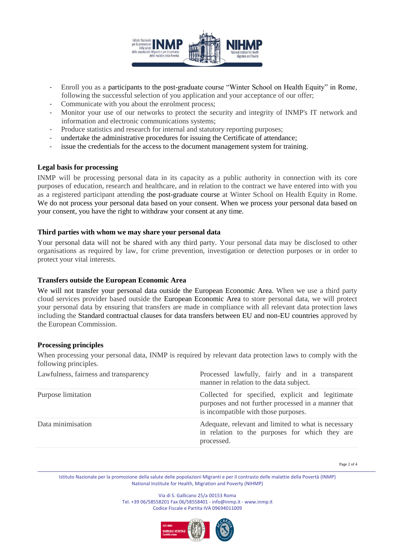

- Enroll you as a participants to the post-graduate course "Winter School on Health Equity" in Rome, following the successful selection of you application and your acceptance of our offer;
- Communicate with you about the enrolment process;
- Monitor your use of our networks to protect the security and integrity of INMP's IT network and information and electronic communications systems;
- Produce statistics and research for internal and statutory reporting purposes;
- undertake the administrative procedures for issuing the Certificate of attendance;
- issue the credentials for the access to the document management system for training.

#### **Legal basis for processing**

INMP will be processing personal data in its capacity as a public authority in connection with its core purposes of education, research and healthcare, and in relation to the contract we have entered into with you as a registered participant attending the post-graduate course at Winter School on Health Equity in Rome. We do not process your personal data based on your consent. When we process your personal data based on your consent, you have the right to withdraw your consent at any time.

#### **Third parties with whom we may share your personal data**

Your personal data will not be shared with any third party. Your personal data may be disclosed to other organisations as required by law, for crime prevention, investigation or detection purposes or in order to protect your vital interests.

#### **Transfers outside the European Economic Area**

We will not transfer your personal data outside the European Economic Area. When we use a third party cloud services provider based outside the European Economic Area to store personal data, we will protect your personal data by ensuring that transfers are made in compliance with all relevant data protection laws including the Standard contractual clauses for data transfers between EU and non-EU countries approved by the European Commission.

#### **Processing principles**

When processing your personal data, INMP is required by relevant data protection laws to comply with the following principles.

| Lawfulness, fairness and transparency | Processed lawfully, fairly and in a transparent<br>manner in relation to the data subject.                                                      |
|---------------------------------------|-------------------------------------------------------------------------------------------------------------------------------------------------|
| Purpose limitation                    | Collected for specified, explicit and legitimate<br>purposes and not further processed in a manner that<br>is incompatible with those purposes. |
| Data minimisation                     | Adequate, relevant and limited to what is necessary<br>in relation to the purposes for which they are<br>processed.                             |

Page 2 of 4

Istituto Nazionale per la promozione della salute delle popolazioni Migranti e per il contrasto delle malattie della Povertà (INMP) National Institute for Health, Migration and Poverty (NIHMP)

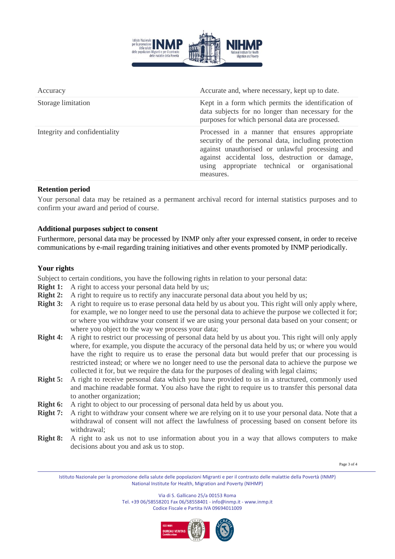

| Accuracy                      | Accurate and, where necessary, kept up to date.                                                                                                                                                                                                                           |
|-------------------------------|---------------------------------------------------------------------------------------------------------------------------------------------------------------------------------------------------------------------------------------------------------------------------|
| Storage limitation            | Kept in a form which permits the identification of<br>data subjects for no longer than necessary for the<br>purposes for which personal data are processed.                                                                                                               |
| Integrity and confidentiality | Processed in a manner that ensures appropriate<br>security of the personal data, including protection<br>against unauthorised or unlawful processing and<br>against accidental loss, destruction or damage,<br>using appropriate technical or organisational<br>measures. |
|                               |                                                                                                                                                                                                                                                                           |

## **Retention period**

Your personal data may be retained as a permanent archival record for internal statistics purposes and to confirm your award and period of course.

## **Additional purposes subject to consent**

Furthermore, personal data may be processed by INMP only after your expressed consent, in order to receive communications by e-mail regarding training initiatives and other events promoted by INMP periodically.

# **Your rights**

Subject to certain conditions, you have the following rights in relation to your personal data:

- **Right 1:** A right to access your personal data held by us;
- **Right 2:** A right to require us to rectify any inaccurate personal data about you held by us;
- **Right 3:** A right to require us to erase personal data held by us about you. This right will only apply where, for example, we no longer need to use the personal data to achieve the purpose we collected it for; or where you withdraw your consent if we are using your personal data based on your consent; or where you object to the way we process your data;
- **Right 4:** A right to restrict our processing of personal data held by us about you. This right will only apply where, for example, you dispute the accuracy of the personal data held by us; or where you would have the right to require us to erase the personal data but would prefer that our processing is restricted instead; or where we no longer need to use the personal data to achieve the purpose we collected it for, but we require the data for the purposes of dealing with legal claims;
- **Right** 5: A right to receive personal data which you have provided to us in a structured, commonly used and machine readable format. You also have the right to require us to transfer this personal data to another organization;
- **Right 6:** A right to object to our processing of personal data held by us about you.
- **Right 7:** A right to withdraw your consent where we are relying on it to use your personal data. Note that a withdrawal of consent will not affect the lawfulness of processing based on consent before its withdrawal;
- **Right 8:** A right to ask us not to use information about you in a way that allows computers to make decisions about you and ask us to stop.

Page 3 of 4

Istituto Nazionale per la promozione della salute delle popolazioni Migranti e per il contrasto delle malattie della Povertà (INMP) National Institute for Health, Migration and Poverty (NIHMP)